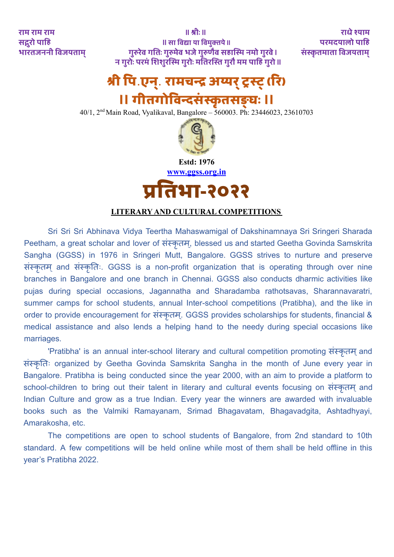राम राम राम || श्रीः || श्रीः || श्रीः || श्रीः || श्रीः || राधे श्याम || श्रीः || राधे श्याम सद्गरो पाहि || सा विद्या या विमक्तये || सा वि सन्दर्य || परमदयालो पाहि भारतजननी विजयताम् गुरुरेव गतिः गुरुमेव भजे गुरुणैव सहास्मि नमो गुरवे । संस्कृतमाता विजयताम् न गरुोः परमं शि शरुस्मि गरुोः मति रस्ति गरुौ मम पाहि गरुो ||

# **श्री पि** .**एन**.**् रामचन्द्र अय्यर ्ट्रस्ट ् (रि )**

# **॥ गीतगोवि न्दसं स्कृतसङ्घः ॥**

40/1, 2 nd Main Road, Vyalikaval, Bangalore – 560003. Ph: 23446023, 23610703



**Estd: 1976 www.ggss.org.in**

**प्रति भा-२०२२**

# **LITERARY AND CULTURAL COMPETITIONS**

Sri Sri Sri Abhinava Vidya Teertha Mahaswamigal of Dakshinamnaya Sri Sringeri Sharada Peetham, a great scholar and lover of संस्कृतम, blessed us and started Geetha Govinda Samskrita Sangha (GGSS) in 1976 in Sringeri Mutt, Bangalore. GGSS strives to nurture and preserve संस्कृतम ् and संस्कृतिः. GGSS is a non-profit organization that is operating through over nine branches in Bangalore and one branch in Chennai. GGSS also conducts dharmic activities like pujas during special occasions, Jagannatha and Sharadamba rathotsavas, Sharannavaratri, summer camps for school students, annual Inter-school competitions (Pratibha), and the like in order to provide encouragement for संस्कृतम. GGSS provides scholarships for students, financial & medical assistance and also lends a helping hand to the needy during special occasions like marriages.

'Pratibha' is an annual inter-school literary and cultural competition promoting संस्कृतम and संस्कृतिः organized by Geetha Govinda Samskrita Sangha in the month of June every year in Bangalore. Pratibha is being conducted since the year 2000, with an aim to provide a platform to school-children to bring out their talent in literary and cultural events focusing on संस्कृतम and Indian Culture and grow as a true Indian. Every year the winners are awarded with invaluable books such as the Valmiki Ramayanam, Srimad Bhagavatam, Bhagavadgita, Ashtadhyayi, Amarakosha, etc.

The competitions are open to school students of Bangalore, from 2nd standard to 10th standard. A few competitions will be held online while most of them shall be held offline in this year's Pratibha 2022.